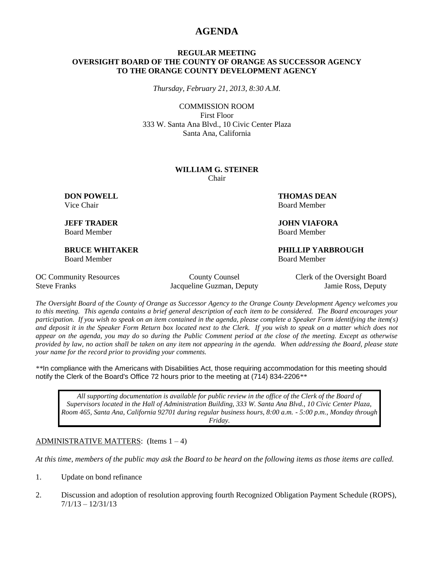## **AGENDA**

### **REGULAR MEETING OVERSIGHT BOARD OF THE COUNTY OF ORANGE AS SUCCESSOR AGENCY TO THE ORANGE COUNTY DEVELOPMENT AGENCY**

*Thursday, February 21, 2013, 8:30 A.M.*

COMMISSION ROOM First Floor 333 W. Santa Ana Blvd., 10 Civic Center Plaza Santa Ana, California

#### **WILLIAM G. STEINER** Chair

Board Member Board Member

Board Member Board Member

**DON POWELL THOMAS DEAN** Vice Chair **Board Member** Board Member

**JEFF TRADER JOHN VIAFORA**

**BRUCE WHITAKER PHILLIP YARBROUGH**

Steve Franks Jacqueline Guzman, Deputy Jamie Ross, Deputy

OC Community Resources County County Counsel Clerk of the Oversight Board

*The Oversight Board of the County of Orange as Successor Agency to the Orange County Development Agency welcomes you to this meeting. This agenda contains a brief general description of each item to be considered. The Board encourages your participation. If you wish to speak on an item contained in the agenda, please complete a Speaker Form identifying the item(s) and deposit it in the Speaker Form Return box located next to the Clerk. If you wish to speak on a matter which does not appear on the agenda, you may do so during the Public Comment period at the close of the meeting. Except as otherwise provided by law, no action shall be taken on any item not appearing in the agenda. When addressing the Board, please state your name for the record prior to providing your comments.* 

*\*\**In compliance with the Americans with Disabilities Act, those requiring accommodation for this meeting should notify the Clerk of the Board's Office 72 hours prior to the meeting at (714) 834-2206*\*\**

*All supporting documentation is available for public review in the office of the Clerk of the Board of Supervisors located in the Hall of Administration Building, 333 W. Santa Ana Blvd., 10 Civic Center Plaza, Room 465, Santa Ana, California 92701 during regular business hours, 8:00 a.m. - 5:00 p.m., Monday through Friday.*

ADMINISTRATIVE MATTERS: (Items  $1 - 4$ )

*At this time, members of the public may ask the Board to be heard on the following items as those items are called.*

- 1. Update on bond refinance
- 2. Discussion and adoption of resolution approving fourth Recognized Obligation Payment Schedule (ROPS),  $7/1/13 - 12/31/13$